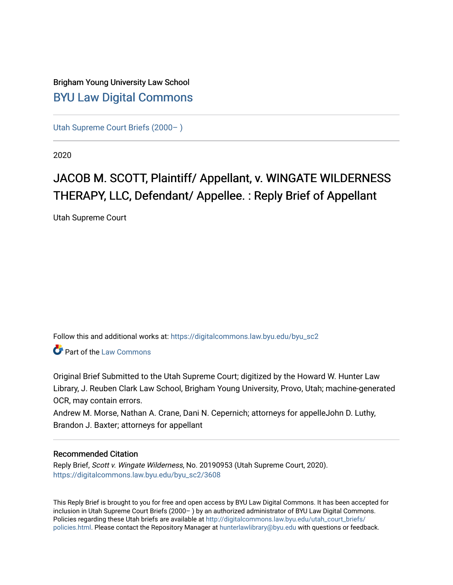## Brigham Young University Law School [BYU Law Digital Commons](https://digitalcommons.law.byu.edu/)

[Utah Supreme Court Briefs \(2000– \)](https://digitalcommons.law.byu.edu/byu_sc2)

2020

# JACOB M. SCOTT, Plaintiff/ Appellant, v. WINGATE WILDERNESS THERAPY, LLC, Defendant/ Appellee. : Reply Brief of Appellant

Utah Supreme Court

Follow this and additional works at: [https://digitalcommons.law.byu.edu/byu\\_sc2](https://digitalcommons.law.byu.edu/byu_sc2?utm_source=digitalcommons.law.byu.edu%2Fbyu_sc2%2F3608&utm_medium=PDF&utm_campaign=PDFCoverPages) 

**C**<sup> $\bullet$ </sup> Part of the [Law Commons](https://network.bepress.com/hgg/discipline/578?utm_source=digitalcommons.law.byu.edu%2Fbyu_sc2%2F3608&utm_medium=PDF&utm_campaign=PDFCoverPages)

Original Brief Submitted to the Utah Supreme Court; digitized by the Howard W. Hunter Law Library, J. Reuben Clark Law School, Brigham Young University, Provo, Utah; machine-generated OCR, may contain errors.

Andrew M. Morse, Nathan A. Crane, Dani N. Cepernich; attorneys for appelleJohn D. Luthy, Brandon J. Baxter; attorneys for appellant

#### Recommended Citation

Reply Brief, Scott v. Wingate Wilderness, No. 20190953 (Utah Supreme Court, 2020). [https://digitalcommons.law.byu.edu/byu\\_sc2/3608](https://digitalcommons.law.byu.edu/byu_sc2/3608?utm_source=digitalcommons.law.byu.edu%2Fbyu_sc2%2F3608&utm_medium=PDF&utm_campaign=PDFCoverPages)

This Reply Brief is brought to you for free and open access by BYU Law Digital Commons. It has been accepted for inclusion in Utah Supreme Court Briefs (2000– ) by an authorized administrator of BYU Law Digital Commons. Policies regarding these Utah briefs are available at [http://digitalcommons.law.byu.edu/utah\\_court\\_briefs/](http://digitalcommons.law.byu.edu/utah_court_briefs/policies.html) [policies.html](http://digitalcommons.law.byu.edu/utah_court_briefs/policies.html). Please contact the Repository Manager at hunterlawlibrary@byu.edu with questions or feedback.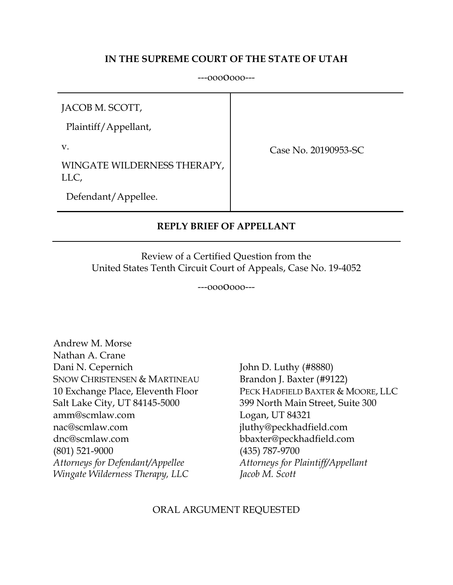### **IN THE SUPREME COURT OF THE STATE OF UTAH**

---ooooooo---

JACOB M. SCOTT,

Plaintiff/Appellant,

v.

Case No. 20190953-SC

WINGATE WILDERNESS THERAPY, LLC,

Defendant/Appellee.

### **REPLY BRIEF OF APPELLANT**

Review of a Certified Question from the United States Tenth Circuit Court of Appeals, Case No. 19-4052

#### ---ooooooo---

Andrew M. Morse Nathan A. Crane Dani N. Cepernich John D. Luthy (#8880) SNOW CHRISTENSEN & MARTINEAU Brandon J. Baxter (#9122) Salt Lake City, UT 84145-5000 399 North Main Street, Suite 300 amm@scmlaw.com Logan, UT 84321 nac@scmlaw.com jluthy@peckhadfield.com dnc@scmlaw.com bbaxter@peckhadfield.com (801) 521-9000 (435) 787-9700 *Attorneys for Defendant/Appellee Attorneys for Plaintiff/Appellant Wingate Wilderness Therapy, LLC Jacob M. Scott*

10 Exchange Place, Eleventh Floor PECK HADFIELD BAXTER & MOORE, LLC

#### ORAL ARGUMENT REQUESTED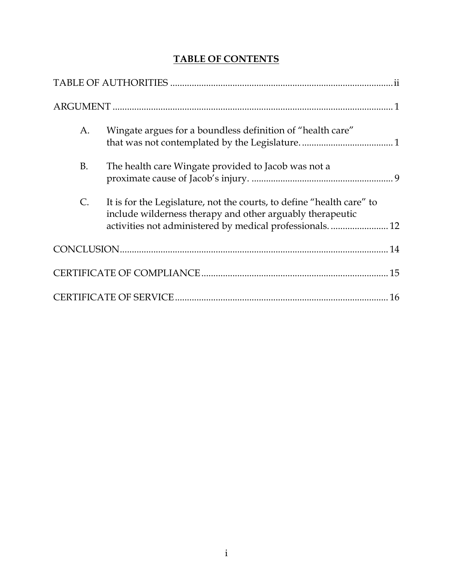## **TABLE OF CONTENTS**

| A.             | Wingate argues for a boundless definition of "health care"                                                                                                                                    |
|----------------|-----------------------------------------------------------------------------------------------------------------------------------------------------------------------------------------------|
| <b>B.</b>      | The health care Wingate provided to Jacob was not a                                                                                                                                           |
| $\mathsf{C}$ . | It is for the Legislature, not the courts, to define "health care" to<br>include wilderness therapy and other arguably therapeutic<br>activities not administered by medical professionals 12 |
|                |                                                                                                                                                                                               |
|                |                                                                                                                                                                                               |
| 16             |                                                                                                                                                                                               |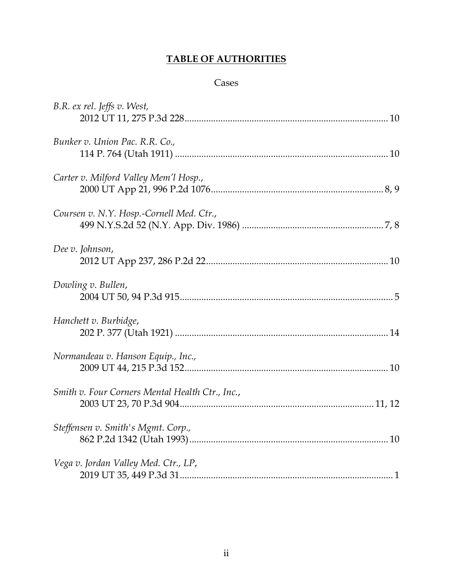## **TABLE OF AUTHORITIES**

### Cases

| B.R. ex rel. Jeffs v. West,                     |
|-------------------------------------------------|
| Bunker v. Union Pac. R.R. Co.,                  |
| Carter v. Milford Valley Mem'l Hosp.,           |
| Coursen v. N.Y. Hosp.-Cornell Med. Ctr.,        |
| Dee v. Johnson,                                 |
| Dowling v. Bullen,                              |
| Hanchett v. Burbidge,                           |
| Normandeau v. Hanson Equip., Inc.,              |
| Smith v. Four Corners Mental Health Ctr., Inc., |
| Steffensen v. Smith's Mgmt. Corp.,              |
| Vega v. Jordan Valley Med. Ctr., LP,            |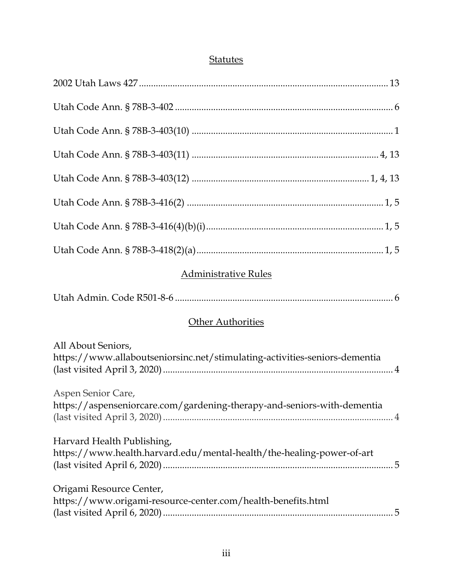## **Statutes**

| <b>Administrative Rules</b>                                                                         |
|-----------------------------------------------------------------------------------------------------|
|                                                                                                     |
| <b>Other Authorities</b>                                                                            |
| All About Seniors,<br>https://www.allaboutseniorsinc.net/stimulating-activities-seniors-dementia    |
| Aspen Senior Care,<br>https://aspenseniorcare.com/gardening-therapy-and-seniors-with-dementia       |
| Harvard Health Publishing,<br>https://www.health.harvard.edu/mental-health/the-healing-power-of-art |
| Origami Resource Center,<br>https://www.origami-resource-center.com/health-benefits.html            |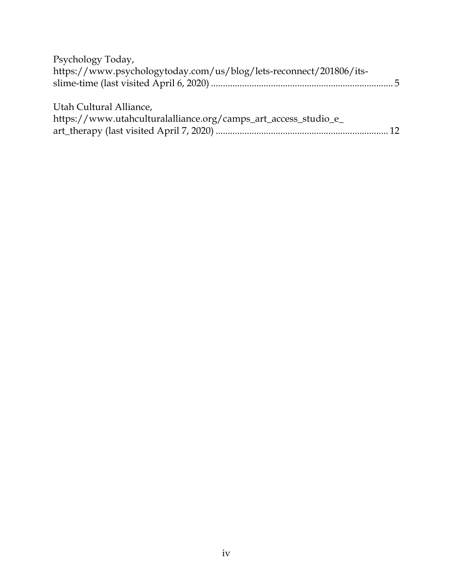| Psychology Today,                                                  |  |
|--------------------------------------------------------------------|--|
| https://www.psychologytoday.com/us/blog/lets-reconnect/201806/its- |  |
|                                                                    |  |
| Utah Cultural Alliance,                                            |  |
| https://www.utahculturalalliance.org/camps_art_access_studio_e_    |  |
|                                                                    |  |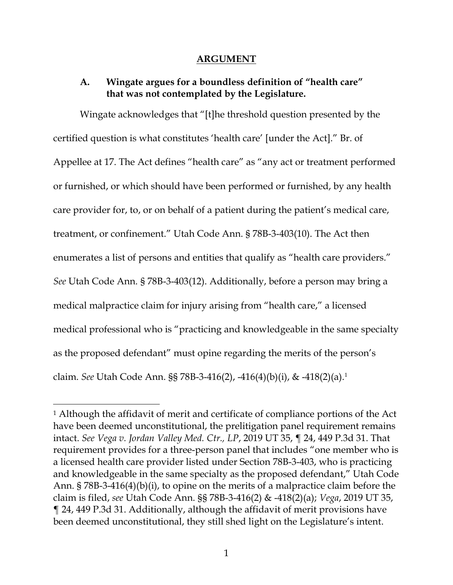#### **ARGUMENT**

### **A. Wingate argues for a boundless definition of "health care" that was not contemplated by the Legislature.**

Wingate acknowledges that "[t]he threshold question presented by the certified question is what constitutes 'health care' [under the Act]." Br. of Appellee at 17. The Act defines "health care" as "any act or treatment performed or furnished, or which should have been performed or furnished, by any health care provider for, to, or on behalf of a patient during the patient's medical care, treatment, or confinement." Utah Code Ann. § 78B-3-403(10). The Act then enumerates a list of persons and entities that qualify as "health care providers." *See* Utah Code Ann. § 78B-3-403(12). Additionally, before a person may bring a medical malpractice claim for injury arising from "health care," a licensed medical professional who is "practicing and knowledgeable in the same specialty as the proposed defendant" must opine regarding the merits of the person's claim. *See* Utah Code Ann. §§ 78B-3-416(2), -416(4)(b)(i), & -418(2)(a). 1

<sup>1</sup> Although the affidavit of merit and certificate of compliance portions of the Act have been deemed unconstitutional, the prelitigation panel requirement remains intact. *See Vega v. Jordan Valley Med. Ctr., LP*, 2019 UT 35, ¶ 24, 449 P.3d 31. That requirement provides for a three-person panel that includes "one member who is a licensed health care provider listed under Section 78B-3-403, who is practicing and knowledgeable in the same specialty as the proposed defendant," Utah Code Ann. § 78B-3-416(4)(b)(i), to opine on the merits of a malpractice claim before the claim is filed, *see* Utah Code Ann. §§ 78B-3-416(2) & -418(2)(a); *Vega*, 2019 UT 35, ¶ 24, 449 P.3d 31. Additionally, although the affidavit of merit provisions have been deemed unconstitutional, they still shed light on the Legislature's intent.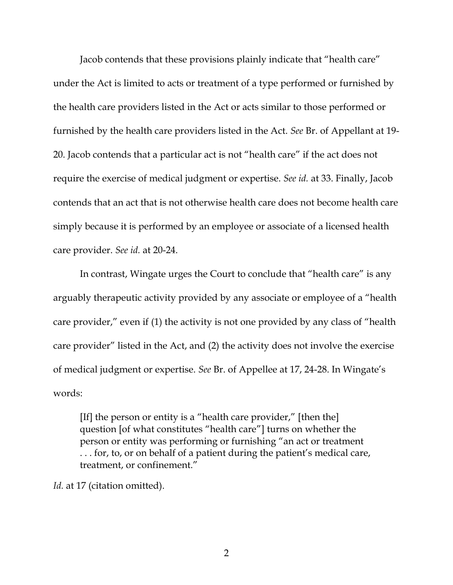Jacob contends that these provisions plainly indicate that "health care" under the Act is limited to acts or treatment of a type performed or furnished by the health care providers listed in the Act or acts similar to those performed or furnished by the health care providers listed in the Act. *See* Br. of Appellant at 19- 20. Jacob contends that a particular act is not "health care" if the act does not require the exercise of medical judgment or expertise. *See id.* at 33. Finally, Jacob contends that an act that is not otherwise health care does not become health care simply because it is performed by an employee or associate of a licensed health care provider. *See id.* at 20-24.

In contrast, Wingate urges the Court to conclude that "health care" is any arguably therapeutic activity provided by any associate or employee of a "health care provider," even if (1) the activity is not one provided by any class of "health care provider" listed in the Act, and (2) the activity does not involve the exercise of medical judgment or expertise. *See* Br. of Appellee at 17, 24-28. In Wingate's words:

[If] the person or entity is a "health care provider," [then the] question [of what constitutes "health care"] turns on whether the person or entity was performing or furnishing "an act or treatment . . . for, to, or on behalf of a patient during the patient's medical care, treatment, or confinement."

*Id.* at 17 (citation omitted).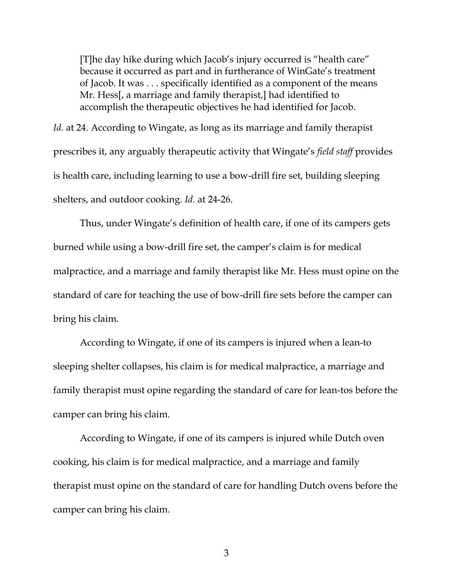[T]he day hike during which Jacob's injury occurred is "health care" because it occurred as part and in furtherance of WinGate's treatment of Jacob. It was . . . specifically identified as a component of the means Mr. Hess[, a marriage and family therapist,] had identified to accomplish the therapeutic objectives he had identified for Jacob.

*Id.* at 24. According to Wingate, as long as its marriage and family therapist prescribes it, any arguably therapeutic activity that Wingate's *field staff* provides is health care, including learning to use a bow-drill fire set, building sleeping shelters, and outdoor cooking. *Id.* at 24-26.

Thus, under Wingate's definition of health care, if one of its campers gets burned while using a bow-drill fire set, the camper's claim is for medical malpractice, and a marriage and family therapist like Mr. Hess must opine on the standard of care for teaching the use of bow-drill fire sets before the camper can bring his claim.

According to Wingate, if one of its campers is injured when a lean-to sleeping shelter collapses, his claim is for medical malpractice, a marriage and family therapist must opine regarding the standard of care for lean-tos before the camper can bring his claim.

According to Wingate, if one of its campers is injured while Dutch oven cooking, his claim is for medical malpractice, and a marriage and family therapist must opine on the standard of care for handling Dutch ovens before the camper can bring his claim.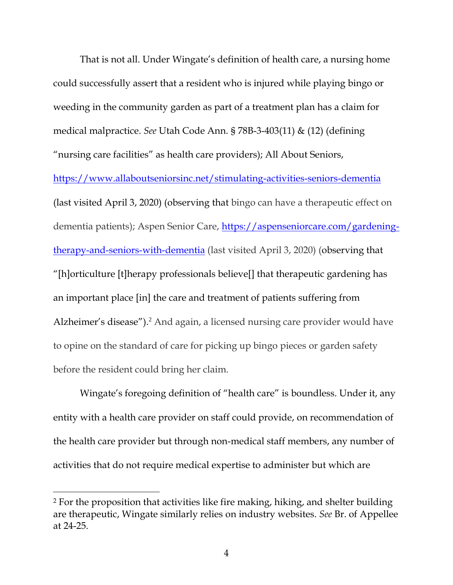That is not all. Under Wingate's definition of health care, a nursing home could successfully assert that a resident who is injured while playing bingo or weeding in the community garden as part of a treatment plan has a claim for medical malpractice. *See* Utah Code Ann. § 78B-3-403(11) & (12) (defining "nursing care facilities" as health care providers); All About Seniors, <https://www.allaboutseniorsinc.net/stimulating-activities-seniors-dementia> (last visited April 3, 2020) (observing that bingo can have a therapeutic effect on dementia patients); Aspen Senior Care, [https://aspenseniorcare.com/gardening](https://aspenseniorcare.com/gardening-therapy-and-seniors-with-dementia)[therapy-and-seniors-with-dementia](https://aspenseniorcare.com/gardening-therapy-and-seniors-with-dementia) (last visited April 3, 2020) (observing that "[h]orticulture [t]herapy professionals believe[] that therapeutic gardening has an important place [in] the care and treatment of patients suffering from Alzheimer's disease"). <sup>2</sup> And again, a licensed nursing care provider would have to opine on the standard of care for picking up bingo pieces or garden safety before the resident could bring her claim.

Wingate's foregoing definition of "health care" is boundless. Under it, any entity with a health care provider on staff could provide, on recommendation of the health care provider but through non-medical staff members, any number of activities that do not require medical expertise to administer but which are

<sup>2</sup> For the proposition that activities like fire making, hiking, and shelter building are therapeutic, Wingate similarly relies on industry websites. *See* Br. of Appellee at 24-25.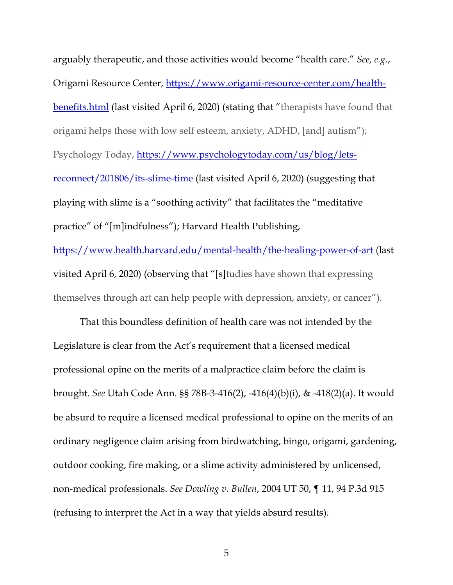arguably therapeutic, and those activities would become "health care." *See, e.g.*, Origami Resource Center, [https://www.origami-resource-center.com/health](https://www.origami-resource-center.com/health-benefits.html)[benefits.html](https://www.origami-resource-center.com/health-benefits.html) (last visited April 6, 2020) (stating that "therapists have found that origami helps those with low self esteem, anxiety, ADHD, [and] autism"); Psychology Today, [https://www.psychologytoday.com/us/blog/lets](https://www.psychologytoday.com/us/blog/lets-reconnect/201806/its-slime-time)[reconnect/201806/its-slime-time](https://www.psychologytoday.com/us/blog/lets-reconnect/201806/its-slime-time) (last visited April 6, 2020) (suggesting that playing with slime is a "soothing activity" that facilitates the "meditative practice" of "[m]indfulness"); Harvard Health Publishing, <https://www.health.harvard.edu/mental-health/the-healing-power-of-art> (last

themselves through art can help people with depression, anxiety, or cancer").

visited April 6, 2020) (observing that "[s]tudies have shown that expressing

That this boundless definition of health care was not intended by the Legislature is clear from the Act's requirement that a licensed medical professional opine on the merits of a malpractice claim before the claim is brought. *See* Utah Code Ann. §§ 78B-3-416(2), -416(4)(b)(i), & -418(2)(a). It would be absurd to require a licensed medical professional to opine on the merits of an ordinary negligence claim arising from birdwatching, bingo, origami, gardening, outdoor cooking, fire making, or a slime activity administered by unlicensed, non-medical professionals. *See Dowling v. Bullen*, 2004 UT 50, ¶ 11, 94 P.3d 915 (refusing to interpret the Act in a way that yields absurd results).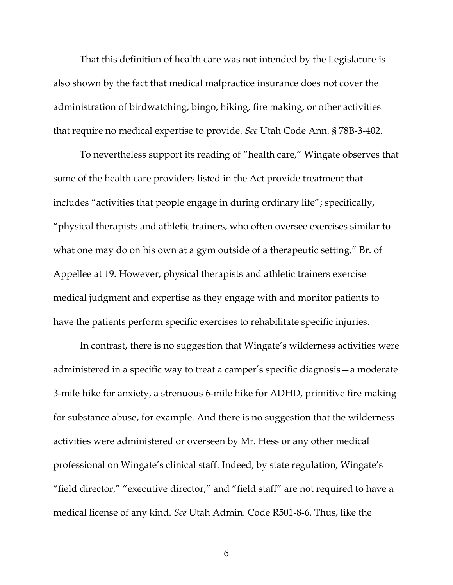That this definition of health care was not intended by the Legislature is also shown by the fact that medical malpractice insurance does not cover the administration of birdwatching, bingo, hiking, fire making, or other activities that require no medical expertise to provide. *See* Utah Code Ann. § 78B-3-402.

To nevertheless support its reading of "health care," Wingate observes that some of the health care providers listed in the Act provide treatment that includes "activities that people engage in during ordinary life"; specifically, "physical therapists and athletic trainers, who often oversee exercises similar to what one may do on his own at a gym outside of a therapeutic setting." Br. of Appellee at 19. However, physical therapists and athletic trainers exercise medical judgment and expertise as they engage with and monitor patients to have the patients perform specific exercises to rehabilitate specific injuries.

In contrast, there is no suggestion that Wingate's wilderness activities were administered in a specific way to treat a camper's specific diagnosis—a moderate 3-mile hike for anxiety, a strenuous 6-mile hike for ADHD, primitive fire making for substance abuse, for example. And there is no suggestion that the wilderness activities were administered or overseen by Mr. Hess or any other medical professional on Wingate's clinical staff. Indeed, by state regulation, Wingate's "field director," "executive director," and "field staff" are not required to have a medical license of any kind. *See* Utah Admin. Code R501-8-6. Thus, like the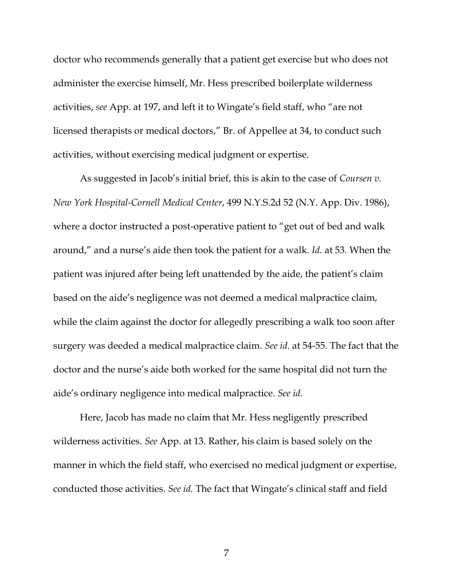doctor who recommends generally that a patient get exercise but who does not administer the exercise himself, Mr. Hess prescribed boilerplate wilderness activities, *see* App. at 197, and left it to Wingate's field staff, who "are not licensed therapists or medical doctors," Br. of Appellee at 34, to conduct such activities, without exercising medical judgment or expertise.

As suggested in Jacob's initial brief, this is akin to the case of *Coursen v. New York Hospital-Cornell Medical Center*, 499 N.Y.S.2d 52 (N.Y. App. Div. 1986), where a doctor instructed a post-operative patient to "get out of bed and walk around," and a nurse's aide then took the patient for a walk. *Id.* at 53. When the patient was injured after being left unattended by the aide, the patient's claim based on the aide's negligence was not deemed a medical malpractice claim, while the claim against the doctor for allegedly prescribing a walk too soon after surgery was deeded a medical malpractice claim. *See id.* at 54-55. The fact that the doctor and the nurse's aide both worked for the same hospital did not turn the aide's ordinary negligence into medical malpractice. *See id.*

Here, Jacob has made no claim that Mr. Hess negligently prescribed wilderness activities. *See* App. at 13. Rather, his claim is based solely on the manner in which the field staff, who exercised no medical judgment or expertise, conducted those activities. *See id.* The fact that Wingate's clinical staff and field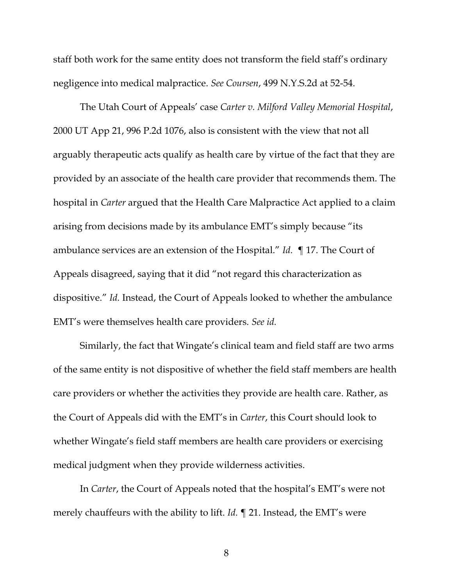staff both work for the same entity does not transform the field staff's ordinary negligence into medical malpractice. *See Coursen*, 499 N.Y.S.2d at 52-54.

The Utah Court of Appeals' case *Carter v. Milford Valley Memorial Hospital*, 2000 UT App 21, 996 P.2d 1076, also is consistent with the view that not all arguably therapeutic acts qualify as health care by virtue of the fact that they are provided by an associate of the health care provider that recommends them. The hospital in *Carter* argued that the Health Care Malpractice Act applied to a claim arising from decisions made by its ambulance EMT's simply because "its ambulance services are an extension of the Hospital." *Id.* ¶ 17. The Court of Appeals disagreed, saying that it did "not regard this characterization as dispositive." *Id.* Instead, the Court of Appeals looked to whether the ambulance EMT's were themselves health care providers. *See id.*

Similarly, the fact that Wingate's clinical team and field staff are two arms of the same entity is not dispositive of whether the field staff members are health care providers or whether the activities they provide are health care. Rather, as the Court of Appeals did with the EMT's in *Carter*, this Court should look to whether Wingate's field staff members are health care providers or exercising medical judgment when they provide wilderness activities.

In *Carter*, the Court of Appeals noted that the hospital's EMT's were not merely chauffeurs with the ability to lift. *Id.* ¶ 21. Instead, the EMT's were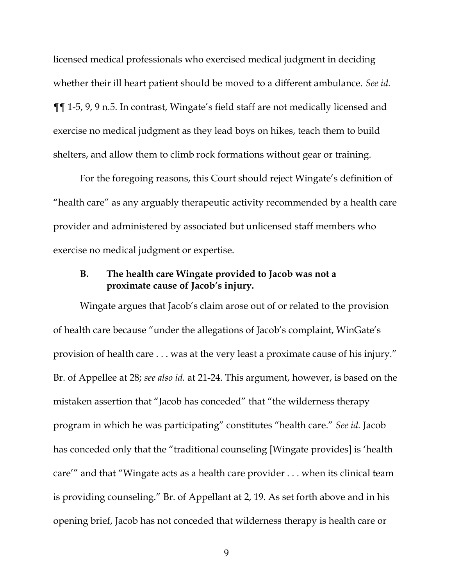licensed medical professionals who exercised medical judgment in deciding whether their ill heart patient should be moved to a different ambulance. *See id.* ¶¶ 1-5, 9, 9 n.5. In contrast, Wingate's field staff are not medically licensed and exercise no medical judgment as they lead boys on hikes, teach them to build shelters, and allow them to climb rock formations without gear or training.

For the foregoing reasons, this Court should reject Wingate's definition of "health care" as any arguably therapeutic activity recommended by a health care provider and administered by associated but unlicensed staff members who exercise no medical judgment or expertise.

### **B. The health care Wingate provided to Jacob was not a proximate cause of Jacob's injury.**

Wingate argues that Jacob's claim arose out of or related to the provision of health care because "under the allegations of Jacob's complaint, WinGate's provision of health care . . . was at the very least a proximate cause of his injury." Br. of Appellee at 28; *see also id.* at 21-24. This argument, however, is based on the mistaken assertion that "Jacob has conceded" that "the wilderness therapy program in which he was participating" constitutes "health care." *See id.* Jacob has conceded only that the "traditional counseling [Wingate provides] is 'health care'" and that "Wingate acts as a health care provider . . . when its clinical team is providing counseling." Br. of Appellant at 2, 19. As set forth above and in his opening brief, Jacob has not conceded that wilderness therapy is health care or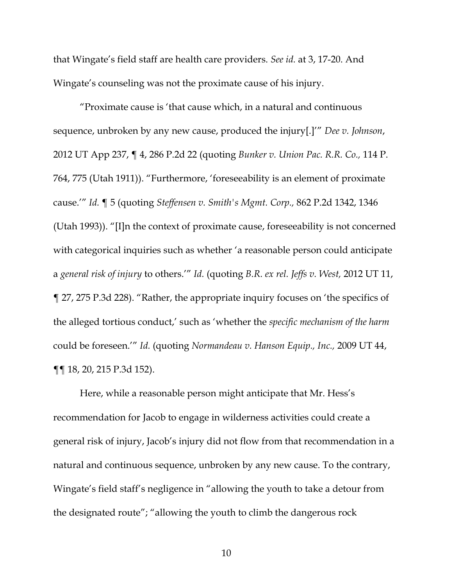that Wingate's field staff are health care providers. *See id.* at 3, 17-20. And Wingate's counseling was not the proximate cause of his injury.

"Proximate cause is 'that cause which, in a natural and continuous sequence, unbroken by any new cause, produced the injury[.]'" *Dee v. Johnson*, 2012 UT App 237, ¶ 4, 286 P.2d 22 (quoting *Bunker v. Union Pac. R.R. Co.,* 114 P. 764, 775 (Utah 1911)). "Furthermore, 'foreseeability is an element of proximate cause.'" *Id.* ¶ 5 (quoting *Steffensen v. Smith's Mgmt. Corp.,* 862 P.2d 1342, 1346 (Utah 1993)). "[I]n the context of proximate cause, foreseeability is not concerned with categorical inquiries such as whether 'a reasonable person could anticipate a *general risk of injury* to others.'" *Id.* (quoting *B.R. ex rel. Jeffs v. West,* 2012 UT 11, ¶ 27, 275 P.3d 228). "Rather, the appropriate inquiry focuses on 'the specifics of the alleged tortious conduct,' such as 'whether the *specific mechanism of the harm*  could be foreseen.'" *Id.* (quoting *Normandeau v. Hanson Equip., Inc.,* 2009 UT 44, ¶¶ 18, 20, 215 P.3d 152).

Here, while a reasonable person might anticipate that Mr. Hess's recommendation for Jacob to engage in wilderness activities could create a general risk of injury, Jacob's injury did not flow from that recommendation in a natural and continuous sequence, unbroken by any new cause. To the contrary, Wingate's field staff's negligence in "allowing the youth to take a detour from the designated route"; "allowing the youth to climb the dangerous rock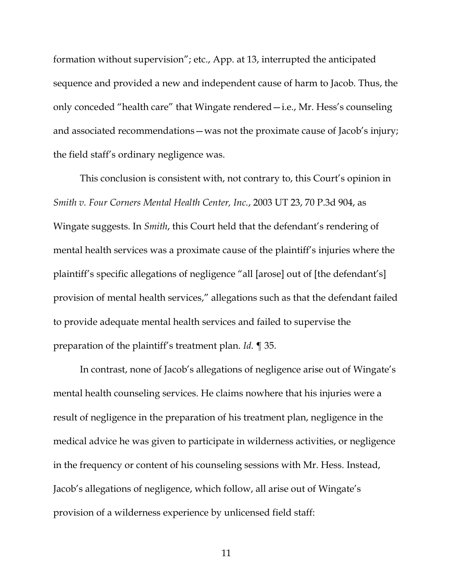formation without supervision"; etc., App. at 13, interrupted the anticipated sequence and provided a new and independent cause of harm to Jacob. Thus, the only conceded "health care" that Wingate rendered—i.e., Mr. Hess's counseling and associated recommendations—was not the proximate cause of Jacob's injury; the field staff's ordinary negligence was.

This conclusion is consistent with, not contrary to, this Court's opinion in *Smith v. Four Corners Mental Health Center, Inc.*, 2003 UT 23, 70 P.3d 904, as Wingate suggests. In *Smith*, this Court held that the defendant's rendering of mental health services was a proximate cause of the plaintiff's injuries where the plaintiff's specific allegations of negligence "all [arose] out of [the defendant's] provision of mental health services," allegations such as that the defendant failed to provide adequate mental health services and failed to supervise the preparation of the plaintiff's treatment plan. *Id.* ¶ 35.

In contrast, none of Jacob's allegations of negligence arise out of Wingate's mental health counseling services. He claims nowhere that his injuries were a result of negligence in the preparation of his treatment plan, negligence in the medical advice he was given to participate in wilderness activities, or negligence in the frequency or content of his counseling sessions with Mr. Hess. Instead, Jacob's allegations of negligence, which follow, all arise out of Wingate's provision of a wilderness experience by unlicensed field staff: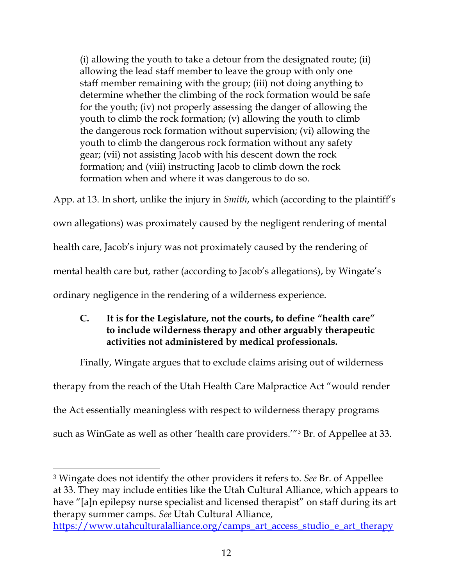(i) allowing the youth to take a detour from the designated route; (ii) allowing the lead staff member to leave the group with only one staff member remaining with the group; (iii) not doing anything to determine whether the climbing of the rock formation would be safe for the youth; (iv) not properly assessing the danger of allowing the youth to climb the rock formation; (v) allowing the youth to climb the dangerous rock formation without supervision; (vi) allowing the youth to climb the dangerous rock formation without any safety gear; (vii) not assisting Jacob with his descent down the rock formation; and (viii) instructing Jacob to climb down the rock formation when and where it was dangerous to do so.

App. at 13. In short, unlike the injury in *Smith*, which (according to the plaintiff's own allegations) was proximately caused by the negligent rendering of mental health care, Jacob's injury was not proximately caused by the rendering of mental health care but, rather (according to Jacob's allegations), by Wingate's ordinary negligence in the rendering of a wilderness experience.

## **C. It is for the Legislature, not the courts, to define "health care" to include wilderness therapy and other arguably therapeutic activities not administered by medical professionals.**

Finally, Wingate argues that to exclude claims arising out of wilderness therapy from the reach of the Utah Health Care Malpractice Act "would render the Act essentially meaningless with respect to wilderness therapy programs such as WinGate as well as other 'health care providers.'" <sup>3</sup> Br. of Appellee at 33.

<sup>3</sup> Wingate does not identify the other providers it refers to. *See* Br. of Appellee at 33. They may include entities like the Utah Cultural Alliance, which appears to have "[a]n epilepsy nurse specialist and licensed therapist" on staff during its art therapy summer camps. *See* Utah Cultural Alliance,

[https://www.utahculturalalliance.org/camps\\_art\\_access\\_studio\\_e\\_art\\_therapy](https://www.utahculturalalliance.org/camps_art_access_studio_e_art_therapy)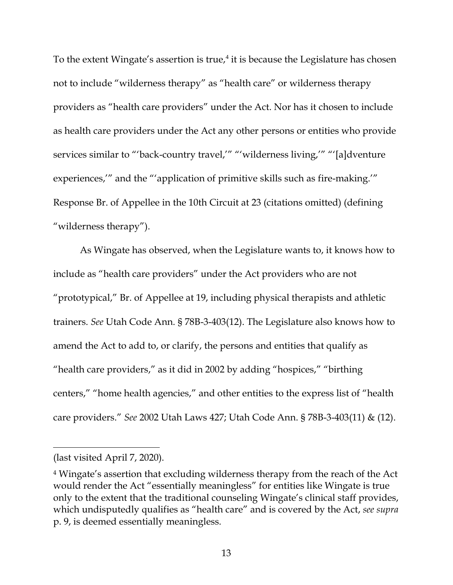To the extent Wingate's assertion is true, $4$  it is because the Legislature has chosen not to include "wilderness therapy" as "health care" or wilderness therapy providers as "health care providers" under the Act. Nor has it chosen to include as health care providers under the Act any other persons or entities who provide services similar to "'back-country travel,'" "'wilderness living,'" "'[a]dventure experiences,'" and the "'application of primitive skills such as fire-making.'" Response Br. of Appellee in the 10th Circuit at 23 (citations omitted) (defining "wilderness therapy").

As Wingate has observed, when the Legislature wants to, it knows how to include as "health care providers" under the Act providers who are not "prototypical," Br. of Appellee at 19, including physical therapists and athletic trainers. *See* Utah Code Ann. § 78B-3-403(12). The Legislature also knows how to amend the Act to add to, or clarify, the persons and entities that qualify as "health care providers," as it did in 2002 by adding "hospices," "birthing centers," "home health agencies," and other entities to the express list of "health care providers." *See* 2002 Utah Laws 427; Utah Code Ann. § 78B-3-403(11) & (12).

<sup>(</sup>last visited April 7, 2020).

<sup>4</sup> Wingate's assertion that excluding wilderness therapy from the reach of the Act would render the Act "essentially meaningless" for entities like Wingate is true only to the extent that the traditional counseling Wingate's clinical staff provides, which undisputedly qualifies as "health care" and is covered by the Act, *see supra*  p. 9, is deemed essentially meaningless.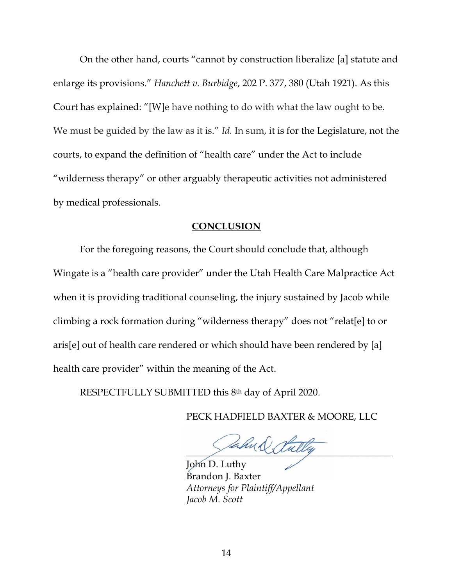On the other hand, courts "cannot by construction liberalize [a] statute and enlarge its provisions." *Hanchett v. Burbidge*, 202 P. 377, 380 (Utah 1921). As this Court has explained: "[W]e have nothing to do with what the law ought to be. We must be guided by the law as it is." *Id.* In sum, it is for the Legislature, not the courts, to expand the definition of "health care" under the Act to include "wilderness therapy" or other arguably therapeutic activities not administered by medical professionals.

#### **CONCLUSION**

For the foregoing reasons, the Court should conclude that, although Wingate is a "health care provider" under the Utah Health Care Malpractice Act when it is providing traditional counseling, the injury sustained by Jacob while climbing a rock formation during "wilderness therapy" does not "relat[e] to or aris[e] out of health care rendered or which should have been rendered by [a] health care provider" within the meaning of the Act.

RESPECTFULLY SUBMITTED this 8th day of April 2020.

PECK HADFIELD BAXTER & MOORE, LLC

ahu & Sully

John D. Luthy Brandon J. Baxter *Attorneys for Plaintiff/Appellant Jacob M. Scott*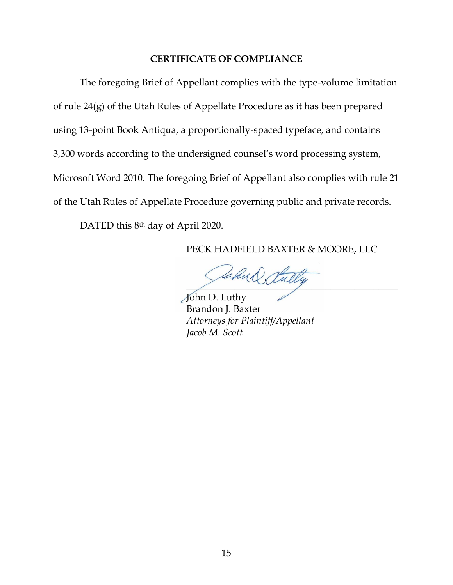#### **CERTIFICATE OF COMPLIANCE**

The foregoing Brief of Appellant complies with the type-volume limitation of rule 24(g) of the Utah Rules of Appellate Procedure as it has been prepared using 13-point Book Antiqua, a proportionally-spaced typeface, and contains 3,300 words according to the undersigned counsel's word processing system, Microsoft Word 2010. The foregoing Brief of Appellant also complies with rule 21 of the Utah Rules of Appellate Procedure governing public and private records.

DATED this 8<sup>th</sup> day of April 2020.

PECK HADFIELD BAXTER & MOORE, LLC

ahud tull

John D. Luthy Brandon J. Baxter *Attorneys for Plaintiff/Appellant Jacob M. Scott*